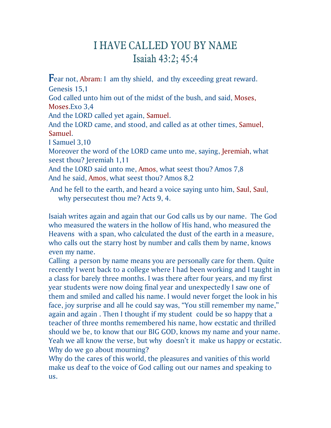## I HAVE CALLED YOU BY NAME Isaiah 43:2; 45:4

**F**ear not, Abram: I am thy shield, and thy exceeding great reward. Genesis 15,1

God called unto him out of the midst of the bush, and said, Moses, Moses.Exo 3,4

And the LORD called yet again, Samuel.

And the LORD came, and stood, and called as at other times, Samuel, Samuel.

I Samuel 3,10

Moreover the word of the LORD came unto me, saying, Jeremiah, what seest thou? Jeremiah 1,11

And the LORD said unto me, Amos, what seest thou? Amos 7,8 And he said, Amos, what seest thou? Amos 8,2

And he fell to the earth, and heard a voice saying unto him, Saul, Saul, why persecutest thou me? Acts 9, 4.

Isaiah writes again and again that our God calls us by our name. The God who measured the waters in the hollow of His hand, who measured the Heavens with a span, who calculated the dust of the earth in a measure, who calls out the starry host by number and calls them by name, knows even my name.

Calling a person by name means you are personally care for them. Quite recently I went back to a college where I had been working and I taught in a class for barely three months. I was there after four years, and my first year students were now doing final year and unexpectedly I saw one of them and smiled and called his name. I would never forget the look in his face, joy surprise and all he could say was, "You still remember my name," again and again . Then I thought if my student could be so happy that a teacher of three months remembered his name, how ecstatic and thrilled should we be, to know that our BIG GOD, knows my name and your name. Yeah we all know the verse, but why doesn't it make us happy or ecstatic. Why do we go about mourning?

Why do the cares of this world, the pleasures and vanities of this world make us deaf to the voice of God calling out our names and speaking to us.